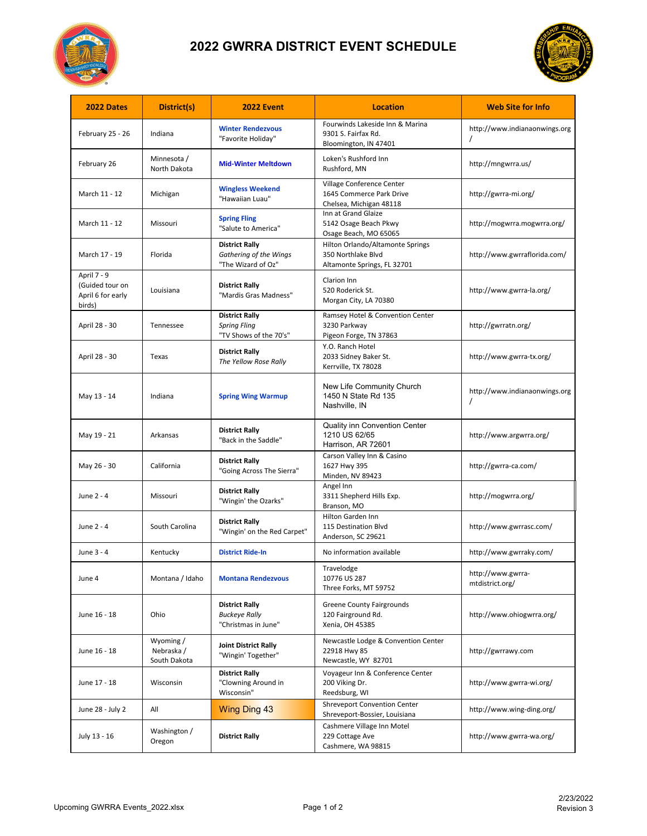

## **2022 GWRRA DISTRICT EVENT SCHEDULE**



| 2022 Dates                                                    | District(s)                             | <b>2022 Event</b>                                                      | <b>Location</b>                                                                       | <b>Web Site for Info</b>             |
|---------------------------------------------------------------|-----------------------------------------|------------------------------------------------------------------------|---------------------------------------------------------------------------------------|--------------------------------------|
| February 25 - 26                                              | Indiana                                 | <b>Winter Rendezvous</b><br>"Favorite Holiday"                         | Fourwinds Lakeside Inn & Marina<br>9301 S. Fairfax Rd.<br>Bloomington, IN 47401       | http://www.indianaonwings.org        |
| February 26                                                   | Minnesota /<br>North Dakota             | <b>Mid-Winter Meltdown</b>                                             | Loken's Rushford Inn<br>Rushford, MN                                                  | http://mngwrra.us/                   |
| March 11 - 12                                                 | Michigan                                | <b>Wingless Weekend</b><br>"Hawaiian Luau"                             | Village Conference Center<br>1645 Commerce Park Drive<br>Chelsea, Michigan 48118      | http://gwrra-mi.org/                 |
| March 11 - 12                                                 | Missouri                                | <b>Spring Fling</b><br>"Salute to America"                             | Inn at Grand Glaize<br>5142 Osage Beach Pkwy<br>Osage Beach, MO 65065                 | http://mogwrra.mogwrra.org/          |
| March 17 - 19                                                 | Florida                                 | <b>District Rally</b><br>Gathering of the Wings<br>"The Wizard of Oz"  | Hilton Orlando/Altamonte Springs<br>350 Northlake Blvd<br>Altamonte Springs, FL 32701 | http://www.gwrraflorida.com/         |
| April 7 - 9<br>(Guided tour on<br>April 6 for early<br>birds) | Louisiana                               | <b>District Rally</b><br>"Mardis Gras Madness"                         | Clarion Inn<br>520 Roderick St.<br>Morgan City, LA 70380                              | http://www.gwrra-la.org/             |
| April 28 - 30                                                 | Tennessee                               | <b>District Rally</b><br><b>Spring Fling</b><br>"TV Shows of the 70's" | Ramsey Hotel & Convention Center<br>3230 Parkway<br>Pigeon Forge, TN 37863            | http://gwrratn.org/                  |
| April 28 - 30                                                 | Texas                                   | <b>District Rally</b><br>The Yellow Rose Rally                         | Y.O. Ranch Hotel<br>2033 Sidney Baker St.<br>Kerrville, TX 78028                      | http://www.gwrra-tx.org/             |
| May 13 - 14                                                   | Indiana                                 | <b>Spring Wing Warmup</b>                                              | <b>New Life Community Church</b><br>1450 N State Rd 135<br>Nashville, IN              | http://www.indianaonwings.org        |
| May 19 - 21                                                   | Arkansas                                | <b>District Rally</b><br>"Back in the Saddle"                          | <b>Quality inn Convention Center</b><br>1210 US 62/65<br>Harrison, AR 72601           | http://www.argwrra.org/              |
| May 26 - 30                                                   | California                              | <b>District Rally</b><br>"Going Across The Sierra"                     | Carson Valley Inn & Casino<br>1627 Hwy 395<br>Minden, NV 89423                        | http://gwrra-ca.com/                 |
| June 2 - 4                                                    | Missouri                                | <b>District Rally</b><br>"Wingin' the Ozarks"                          | Angel Inn<br>3311 Shepherd Hills Exp.<br>Branson, MO                                  | http://mogwrra.org/                  |
| June 2 - 4                                                    | South Carolina                          | <b>District Rally</b><br>"Wingin' on the Red Carpet"                   | <b>Hilton Garden Inn</b><br>115 Destination Blvd<br>Anderson, SC 29621                | http://www.gwrrasc.com/              |
| June 3 - 4                                                    | Kentucky                                | <b>District Ride-In</b>                                                | No information available                                                              | http://www.gwrraky.com/              |
| June 4                                                        | Montana / Idaho                         | <b>Montana Rendezvous</b>                                              | Travelodge<br>10776 US 287<br>Three Forks, MT 59752                                   | http://www.gwrra-<br>mtdistrict.org/ |
| June 16 - 18                                                  | Ohio                                    | <b>District Rally</b><br><b>Buckeye Rally</b><br>"Christmas in June"   | <b>Greene County Fairgrounds</b><br>120 Fairground Rd.<br>Xenia, OH 45385             | http://www.ohiogwrra.org/            |
| June 16 - 18                                                  | Wyoming /<br>Nebraska /<br>South Dakota | <b>Joint District Rally</b><br>"Wingin' Together"                      | Newcastle Lodge & Convention Center<br>22918 Hwy 85<br>Newcastle, WY 82701            | http://gwrrawy.com                   |
| June 17 - 18                                                  | Wisconsin                               | <b>District Rally</b><br>"Clowning Around in<br>Wisconsin"             | Voyageur Inn & Conference Center<br>200 Viking Dr.<br>Reedsburg, WI                   | http://www.gwrra-wi.org/             |
| June 28 - July 2                                              | All                                     | <b>Wing Ding 43</b>                                                    | <b>Shreveport Convention Center</b><br>Shreveport-Bossier, Louisiana                  | http://www.wing-ding.org/            |
| July 13 - 16                                                  | Washington /<br>Oregon                  | <b>District Rally</b>                                                  | Cashmere Village Inn Motel<br>229 Cottage Ave<br>Cashmere, WA 98815                   | http://www.gwrra-wa.org/             |